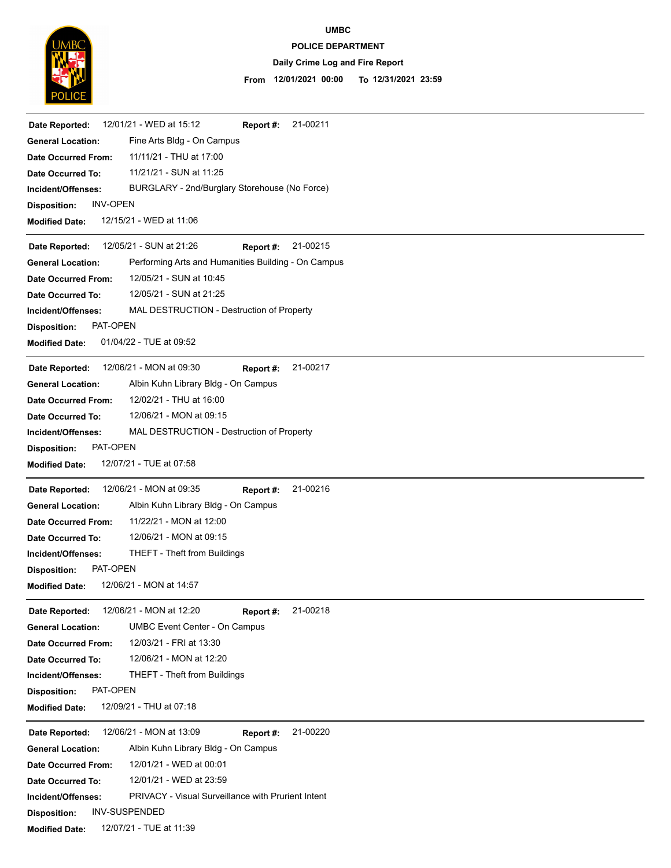

## **POLICE DEPARTMENT UMBC**

# **Daily Crime Log and Fire Report**

## **12/01/2021 00:00 To 12/31/2021 23:59 From**

| 12/01/21 - WED at 15:12<br>21-00211<br>Date Reported:<br>Report #:              |
|---------------------------------------------------------------------------------|
| Fine Arts Bldg - On Campus<br><b>General Location:</b>                          |
| 11/11/21 - THU at 17:00<br><b>Date Occurred From:</b>                           |
| 11/21/21 - SUN at 11:25<br>Date Occurred To:                                    |
| BURGLARY - 2nd/Burglary Storehouse (No Force)<br>Incident/Offenses:             |
| <b>INV-OPEN</b><br><b>Disposition:</b>                                          |
| 12/15/21 - WED at 11:06<br><b>Modified Date:</b>                                |
| 12/05/21 - SUN at 21:26<br>21-00215<br>Report #:<br>Date Reported:              |
| Performing Arts and Humanities Building - On Campus<br><b>General Location:</b> |
| 12/05/21 - SUN at 10:45<br><b>Date Occurred From:</b>                           |
| 12/05/21 - SUN at 21:25<br>Date Occurred To:                                    |
| MAL DESTRUCTION - Destruction of Property<br>Incident/Offenses:                 |
| PAT-OPEN<br><b>Disposition:</b>                                                 |
| 01/04/22 - TUE at 09:52<br><b>Modified Date:</b>                                |
|                                                                                 |
| 12/06/21 - MON at 09:30<br>21-00217<br>Date Reported:<br>Report #:              |
| Albin Kuhn Library Bldg - On Campus<br><b>General Location:</b>                 |
| 12/02/21 - THU at 16:00<br><b>Date Occurred From:</b>                           |
| 12/06/21 - MON at 09:15<br>Date Occurred To:                                    |
| MAL DESTRUCTION - Destruction of Property<br>Incident/Offenses:                 |
| PAT-OPEN<br><b>Disposition:</b>                                                 |
| 12/07/21 - TUE at 07:58<br><b>Modified Date:</b>                                |
| 21-00216<br>12/06/21 - MON at 09:35<br>Date Reported:<br>Report #:              |
| <b>General Location:</b><br>Albin Kuhn Library Bldg - On Campus                 |
| 11/22/21 - MON at 12:00<br><b>Date Occurred From:</b>                           |
| 12/06/21 - MON at 09:15<br>Date Occurred To:                                    |
| THEFT - Theft from Buildings<br>Incident/Offenses:                              |
| PAT-OPEN<br><b>Disposition:</b>                                                 |
| 12/06/21 - MON at 14:57<br><b>Modified Date:</b>                                |
| 12/06/21 - MON at 12:20<br>21-00218<br>Date Reported:<br>Report #:              |
| <b>UMBC Event Center - On Campus</b><br><b>General Location:</b>                |
| 12/03/21 - FRI at 13:30<br><b>Date Occurred From:</b>                           |
| 12/06/21 - MON at 12:20<br>Date Occurred To:                                    |
| THEFT - Theft from Buildings<br>Incident/Offenses:                              |
| PAT-OPEN<br><b>Disposition:</b>                                                 |
| 12/09/21 - THU at 07:18<br><b>Modified Date:</b>                                |
|                                                                                 |
| 12/06/21 - MON at 13:09<br>21-00220<br>Date Reported:<br>Report #:              |
| Albin Kuhn Library Bldg - On Campus<br><b>General Location:</b>                 |
| 12/01/21 - WED at 00:01<br><b>Date Occurred From:</b>                           |
| 12/01/21 - WED at 23:59<br><b>Date Occurred To:</b>                             |
| <b>PRIVACY</b> - Visual Surveillance with Prurient Intent<br>Incident/Offenses: |
| <b>INV-SUSPENDED</b><br><b>Disposition:</b>                                     |
| 12/07/21 - TUE at 11:39<br><b>Modified Date:</b>                                |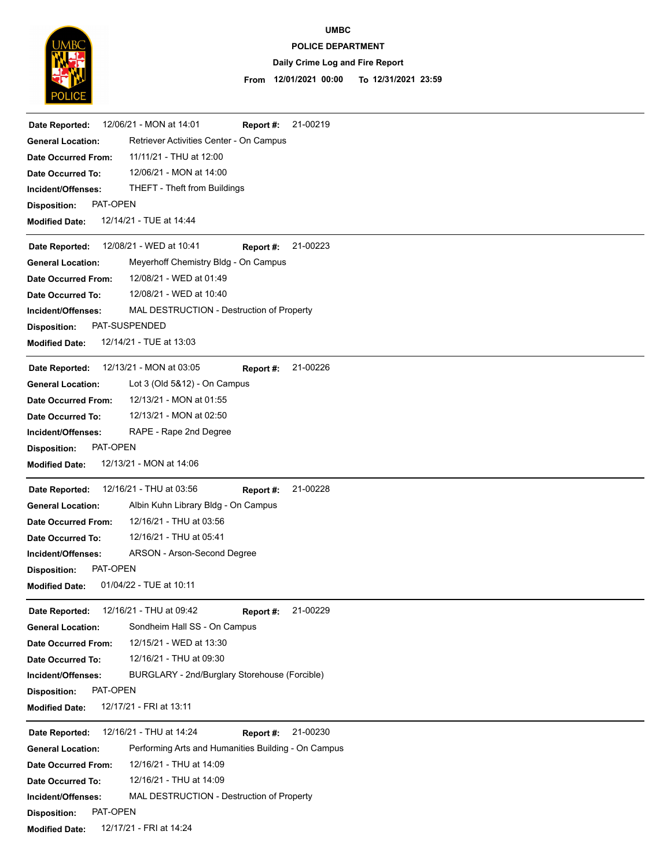

# **UMBC**

### **POLICE DEPARTMENT**

## **Daily Crime Log and Fire Report**

#### **12/01/2021 00:00 To 12/31/2021 23:59 From**

| 12/06/21 - MON at 14:01<br>21-00219<br>Date Reported:<br>Report #:              |
|---------------------------------------------------------------------------------|
| Retriever Activities Center - On Campus<br><b>General Location:</b>             |
| 11/11/21 - THU at 12:00<br><b>Date Occurred From:</b>                           |
| 12/06/21 - MON at 14:00<br>Date Occurred To:                                    |
| <b>THEFT - Theft from Buildings</b><br>Incident/Offenses:                       |
| PAT-OPEN<br><b>Disposition:</b>                                                 |
| 12/14/21 - TUE at 14:44<br><b>Modified Date:</b>                                |
| 12/08/21 - WED at 10:41<br>21-00223<br>Date Reported:<br>Report #:              |
| Meyerhoff Chemistry Bldg - On Campus<br><b>General Location:</b>                |
| 12/08/21 - WED at 01:49<br><b>Date Occurred From:</b>                           |
| 12/08/21 - WED at 10:40<br>Date Occurred To:                                    |
| MAL DESTRUCTION - Destruction of Property<br>Incident/Offenses:                 |
| PAT-SUSPENDED<br><b>Disposition:</b>                                            |
| 12/14/21 - TUE at 13:03<br><b>Modified Date:</b>                                |
| 12/13/21 - MON at 03:05<br>21-00226<br>Date Reported:<br>Report #:              |
| Lot 3 (Old 5&12) - On Campus<br><b>General Location:</b>                        |
| 12/13/21 - MON at 01:55<br><b>Date Occurred From:</b>                           |
| 12/13/21 - MON at 02:50<br>Date Occurred To:                                    |
| RAPE - Rape 2nd Degree<br>Incident/Offenses:                                    |
| PAT-OPEN<br><b>Disposition:</b>                                                 |
| 12/13/21 - MON at 14:06<br><b>Modified Date:</b>                                |
| 12/16/21 - THU at 03:56<br>21-00228<br>Date Reported:<br>Report #:              |
| Albin Kuhn Library Bldg - On Campus<br><b>General Location:</b>                 |
| 12/16/21 - THU at 03:56<br><b>Date Occurred From:</b>                           |
| 12/16/21 - THU at 05:41<br><b>Date Occurred To:</b>                             |
| ARSON - Arson-Second Degree<br>Incident/Offenses:                               |
| PAT-OPEN<br><b>Disposition:</b>                                                 |
| 01/04/22 - TUE at 10:11<br><b>Modified Date:</b>                                |
| 12/16/21 - THU at 09:42<br>21-00229<br>Date Reported:<br>Report #:              |
| Sondheim Hall SS - On Campus<br><b>General Location:</b>                        |
| 12/15/21 - WED at 13:30<br>Date Occurred From:                                  |
| 12/16/21 - THU at 09:30<br><b>Date Occurred To:</b>                             |
| BURGLARY - 2nd/Burglary Storehouse (Forcible)<br>Incident/Offenses:             |
| PAT-OPEN<br><b>Disposition:</b>                                                 |
| 12/17/21 - FRI at 13:11<br><b>Modified Date:</b>                                |
| 12/16/21 - THU at 14:24<br>21-00230<br>Report #:<br>Date Reported:              |
| Performing Arts and Humanities Building - On Campus<br><b>General Location:</b> |
| 12/16/21 - THU at 14:09<br><b>Date Occurred From:</b>                           |
| 12/16/21 - THU at 14:09<br>Date Occurred To:                                    |
| MAL DESTRUCTION - Destruction of Property<br>Incident/Offenses:                 |
| PAT-OPEN<br><b>Disposition:</b>                                                 |
| 12/17/21 - FRI at 14:24<br><b>Modified Date:</b>                                |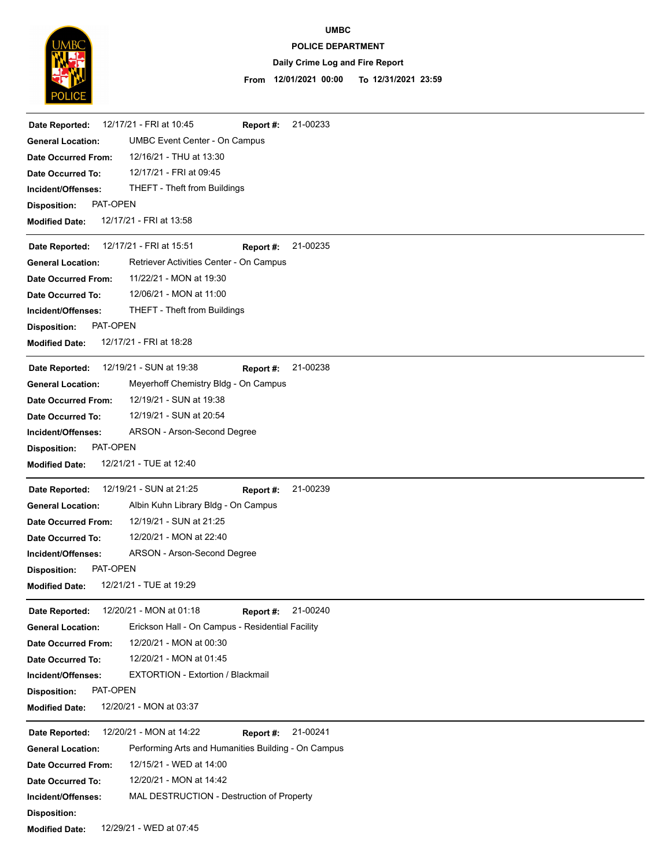

# **UMBC**

### **POLICE DEPARTMENT**

## **Daily Crime Log and Fire Report**

#### **12/01/2021 00:00 To 12/31/2021 23:59 From**

| Date Reported:                  | 12/17/21 - FRI at 10:45<br>21-00233<br>Report #:    |
|---------------------------------|-----------------------------------------------------|
| <b>General Location:</b>        | <b>UMBC Event Center - On Campus</b>                |
| <b>Date Occurred From:</b>      | 12/16/21 - THU at 13:30                             |
| Date Occurred To:               | 12/17/21 - FRI at 09:45                             |
| Incident/Offenses:              | THEFT - Theft from Buildings                        |
| PAT-OPEN<br><b>Disposition:</b> |                                                     |
| <b>Modified Date:</b>           | 12/17/21 - FRI at 13:58                             |
| Date Reported:                  | 12/17/21 - FRI at 15:51<br>21-00235<br>Report #:    |
| <b>General Location:</b>        | Retriever Activities Center - On Campus             |
| <b>Date Occurred From:</b>      | 11/22/21 - MON at 19:30                             |
| Date Occurred To:               | 12/06/21 - MON at 11:00                             |
| Incident/Offenses:              | <b>THEFT - Theft from Buildings</b>                 |
| PAT-OPEN<br><b>Disposition:</b> |                                                     |
| <b>Modified Date:</b>           | 12/17/21 - FRI at 18:28                             |
| Date Reported:                  | 12/19/21 - SUN at 19:38<br>21-00238<br>Report #:    |
| <b>General Location:</b>        | Meyerhoff Chemistry Bldg - On Campus                |
| <b>Date Occurred From:</b>      | 12/19/21 - SUN at 19:38                             |
| Date Occurred To:               | 12/19/21 - SUN at 20:54                             |
| Incident/Offenses:              | ARSON - Arson-Second Degree                         |
| PAT-OPEN<br><b>Disposition:</b> |                                                     |
| <b>Modified Date:</b>           | 12/21/21 - TUE at 12:40                             |
| Date Reported:                  | 12/19/21 - SUN at 21:25<br>21-00239<br>Report #:    |
| <b>General Location:</b>        | Albin Kuhn Library Bldg - On Campus                 |
| <b>Date Occurred From:</b>      | 12/19/21 - SUN at 21:25                             |
| Date Occurred To:               | 12/20/21 - MON at 22:40                             |
| Incident/Offenses:              | ARSON - Arson-Second Degree                         |
| PAT-OPEN<br><b>Disposition:</b> |                                                     |
| <b>Modified Date:</b>           | 12/21/21 - TUE at 19:29                             |
| Date Reported:                  | 12/20/21 - MON at 01:18<br>21-00240<br>Report #:    |
| <b>General Location:</b>        | Erickson Hall - On Campus - Residential Facility    |
| Date Occurred From:             | 12/20/21 - MON at 00:30                             |
| Date Occurred To:               | 12/20/21 - MON at 01:45                             |
| Incident/Offenses:              | <b>EXTORTION - Extortion / Blackmail</b>            |
| PAT-OPEN<br><b>Disposition:</b> |                                                     |
| <b>Modified Date:</b>           | 12/20/21 - MON at 03:37                             |
| Date Reported:                  | 21-00241<br>12/20/21 - MON at 14:22<br>Report #:    |
| <b>General Location:</b>        | Performing Arts and Humanities Building - On Campus |
| <b>Date Occurred From:</b>      | 12/15/21 - WED at 14:00                             |
| Date Occurred To:               | 12/20/21 - MON at 14:42                             |
| Incident/Offenses:              | MAL DESTRUCTION - Destruction of Property           |
| <b>Disposition:</b>             |                                                     |

**Modified Date:** 12/29/21 - WED at 07:45